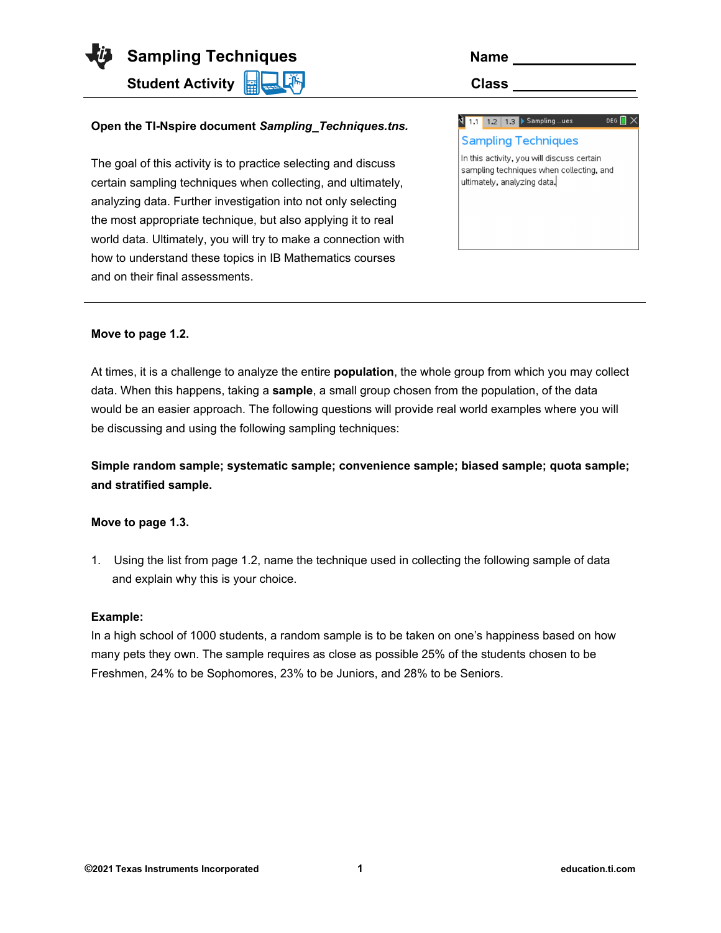**Sampling Techniques** 

**Student Activity <b>Role** (  $\frac{1}{2}$  ) and **Class Class** 

# **Open the TI-Nspire document** *Sampling\_Techniques.tns.*

The goal of this activity is to practice selecting and discuss certain sampling techniques when collecting, and ultimately, analyzing data. Further investigation into not only selecting the most appropriate technique, but also applying it to real world data. Ultimately, you will try to make a connection with how to understand these topics in IB Mathematics courses and on their final assessments.

| Name |  |  |  |
|------|--|--|--|
| --   |  |  |  |

| $1.2$   $1.3$ $\triangleright$ Sampling  ues<br>1.1                                                                   | DEG |  |
|-----------------------------------------------------------------------------------------------------------------------|-----|--|
| <b>Sampling Techniques</b>                                                                                            |     |  |
| In this activity, you will discuss certain<br>sampling techniques when collecting, and<br>ultimately, analyzing data. |     |  |

#### **Move to page 1.2.**

At times, it is a challenge to analyze the entire **population**, the whole group from which you may collect data. When this happens, taking a **sample**, a small group chosen from the population, of the data would be an easier approach. The following questions will provide real world examples where you will be discussing and using the following sampling techniques:

**Simple random sample; systematic sample; convenience sample; biased sample; quota sample; and stratified sample.**

### **Move to page 1.3.**

1. Using the list from page 1.2, name the technique used in collecting the following sample of data and explain why this is your choice.

#### **Example:**

In a high school of 1000 students, a random sample is to be taken on one's happiness based on how many pets they own. The sample requires as close as possible 25% of the students chosen to be Freshmen, 24% to be Sophomores, 23% to be Juniors, and 28% to be Seniors.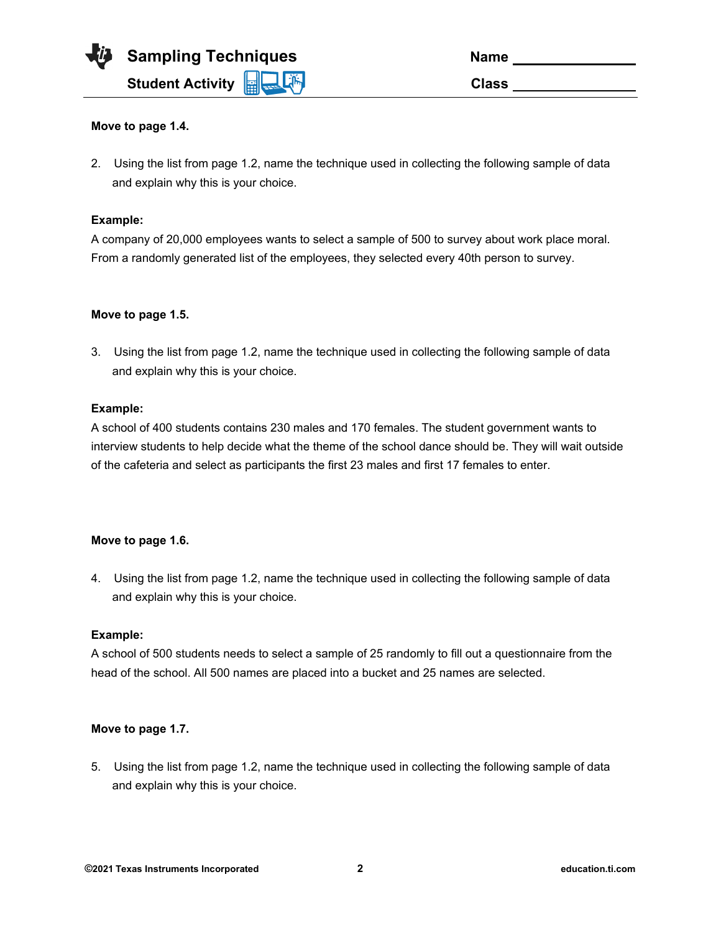

| <b>Name</b>  |  |
|--------------|--|
| <b>Class</b> |  |

## **Move to page 1.4.**

2. Using the list from page 1.2, name the technique used in collecting the following sample of data and explain why this is your choice.

### **Example:**

A company of 20,000 employees wants to select a sample of 500 to survey about work place moral. From a randomly generated list of the employees, they selected every 40th person to survey.

## **Move to page 1.5.**

3. Using the list from page 1.2, name the technique used in collecting the following sample of data and explain why this is your choice.

## **Example:**

A school of 400 students contains 230 males and 170 females. The student government wants to interview students to help decide what the theme of the school dance should be. They will wait outside of the cafeteria and select as participants the first 23 males and first 17 females to enter.

### **Move to page 1.6.**

4. Using the list from page 1.2, name the technique used in collecting the following sample of data and explain why this is your choice.

### **Example:**

A school of 500 students needs to select a sample of 25 randomly to fill out a questionnaire from the head of the school. All 500 names are placed into a bucket and 25 names are selected.

### **Move to page 1.7.**

5. Using the list from page 1.2, name the technique used in collecting the following sample of data and explain why this is your choice.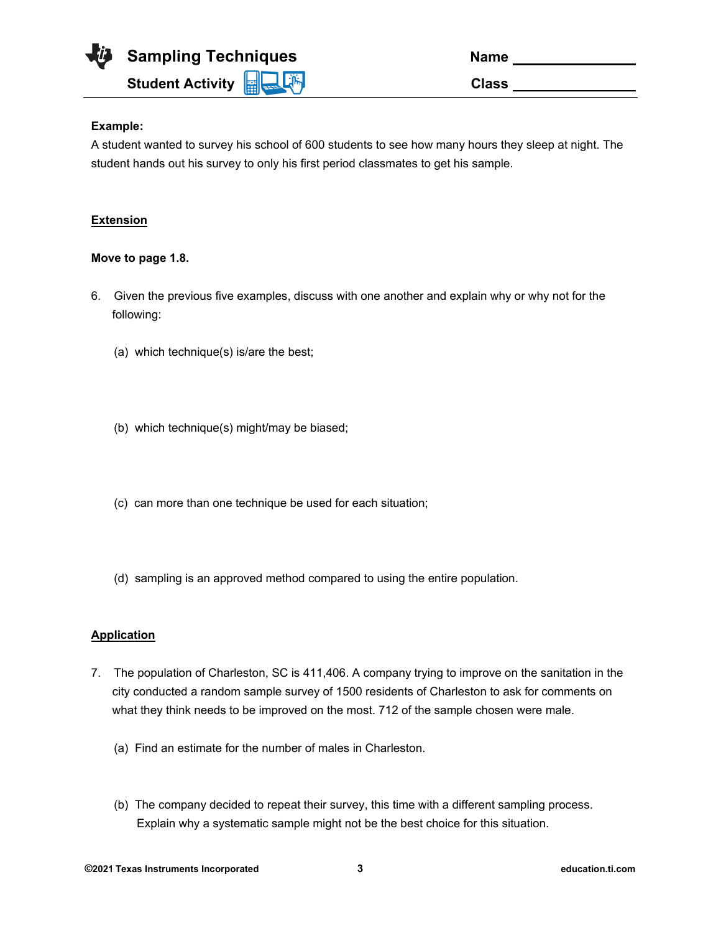

| Name         |  |
|--------------|--|
| <b>Class</b> |  |

# **Example:**

A student wanted to survey his school of 600 students to see how many hours they sleep at night. The student hands out his survey to only his first period classmates to get his sample.

# **Extension**

### **Move to page 1.8.**

- 6. Given the previous five examples, discuss with one another and explain why or why not for the following:
	- (a) which technique(s) is/are the best;
	- (b) which technique(s) might/may be biased;
	- (c) can more than one technique be used for each situation;
	- (d) sampling is an approved method compared to using the entire population.

# **Application**

- 7. The population of Charleston, SC is 411,406. A company trying to improve on the sanitation in the city conducted a random sample survey of 1500 residents of Charleston to ask for comments on what they think needs to be improved on the most. 712 of the sample chosen were male.
	- (a) Find an estimate for the number of males in Charleston.
	- (b) The company decided to repeat their survey, this time with a different sampling process. Explain why a systematic sample might not be the best choice for this situation.